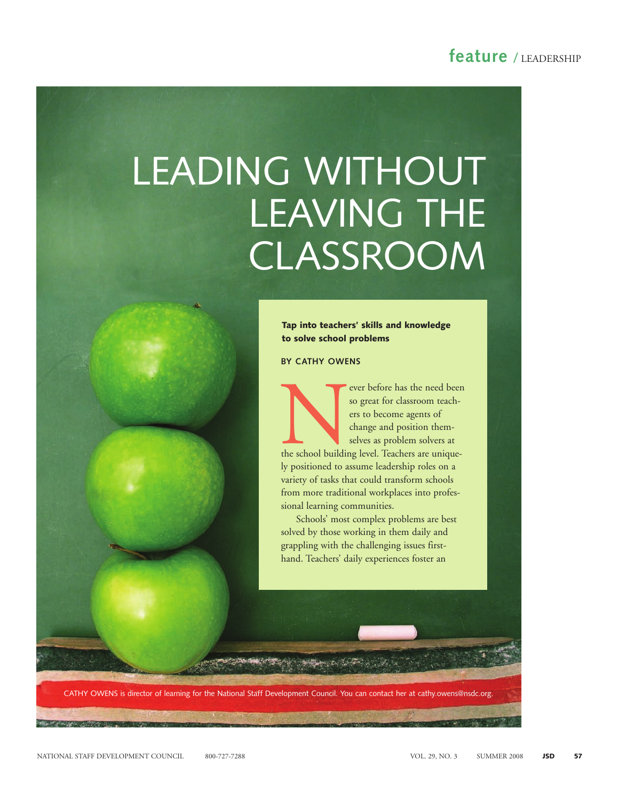### feature / LEADERSHIP

# LEADING WITHOUT LEAVING THE CLASSROOM

**Tap into teachers' skills and knowledge to solve school problems**

#### BY CATHY OWENS

Never before has the need been<br>so great for classroom teach-<br>ers to become agents of<br>change and position them-<br>selves as problem solvers at<br>the school building level. Teachers are unique-<br>we neglige the service location re so great for classroom teachers to become agents of change and position themselves as problem solvers at ly positioned to assume leadership roles on a variety of tasks that could transform schools

sional learning communities. Schools' most complex problems are best solved by those working in them daily and grappling with the challenging issues firsthand. Teachers' daily experiences foster an

from more traditional workplaces into profes-

CATHY OWENS is director of learning for the National Staff Development Council. You can contact her at cathy.owens@nsdc.org.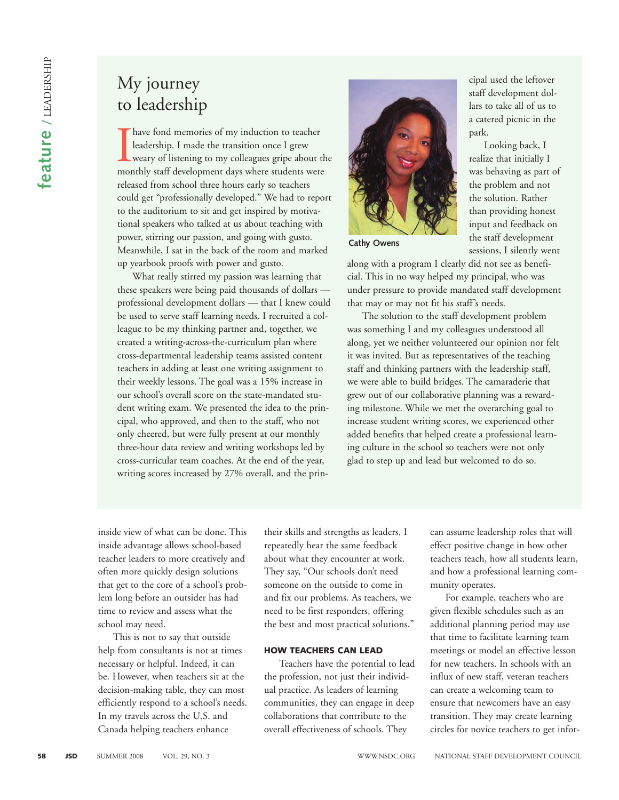## My journey to leadership

I have fond memories of my induction to teacher<br>leadership. I made the transition once I grew<br>weary of listening to my colleagues gripe about the<br>monthly staff development days where students were have fond memories of my induction to teacher leadership. I made the transition once I grew weary of listening to my colleagues gripe about the released from school three hours early so teachers could get "professionally developed." We had to report to the auditorium to sit and get inspired by motivational speakers who talked at us about teaching with power, stirring our passion, and going with gusto. Meanwhile, I sat in the back of the room and marked up yearbook proofs with power and gusto.

What really stirred my passion was learning that these speakers were being paid thousands of dollars professional development dollars — that I knew could be used to serve staff learning needs. I recruited a colleague to be my thinking partner and, together, we created a writing-across-the-curriculum plan where cross-departmental leadership teams assisted content teachers in adding at least one writing assignment to their weekly lessons. The goal was a 15% increase in our school's overall score on the state-mandated student writing exam. We presented the idea to the principal, who approved, and then to the staff, who not only cheered, but were fully present at our monthly three-hour data review and writing workshops led by cross-curricular team coaches. At the end of the year, writing scores increased by 27% overall, and the prin-



Cathy Owens

along with a program I clearly did not see as beneficial. This in no way helped my principal, who was under pressure to provide mandated staff development that may or may not fit his staff's needs.

cipal used the leftover staff development dollars to take all of us to a catered picnic in the

Looking back, I realize that initially I was behaving as part of the problem and not the solution. Rather than providing honest input and feedback on the staff development sessions, I silently went

park.

The solution to the staff development problem was something I and my colleagues understood all along, yet we neither volunteered our opinion nor felt it was invited. But as representatives of the teaching staff and thinking partners with the leadership staff, we were able to build bridges. The camaraderie that grew out of our collaborative planning was a rewarding milestone. While we met the overarching goal to increase student writing scores, we experienced other added benefits that helped create a professional learning culture in the school so teachers were not only glad to step up and lead but welcomed to do so.

inside view of what can be done. This inside advantage allows school-based teacher leaders to more creatively and often more quickly design solutions that get to the core of a school's problem long before an outsider has had time to review and assess what the school may need.

This is not to say that outside help from consultants is not at times necessary or helpful. Indeed, it can be. However, when teachers sit at the decision-making table, they can most efficiently respond to a school's needs. In my travels across the U.S. and Canada helping teachers enhance

their skills and strengths as leaders, I repeatedly hear the same feedback about what they encounter at work. They say, "Our schools don't need someone on the outside to come in and fix our problems. As teachers, we need to be first responders, offering the best and most practical solutions."

#### **HOW TEACHERS CAN LEAD**

Teachers have the potential to lead the profession, not just their individual practice. As leaders of learning communities, they can engage in deep collaborations that contribute to the overall effectiveness of schools. They

can assume leadership roles that will effect positive change in how other teachers teach, how all students learn, and how a professional learning community operates.

For example, teachers who are given flexible schedules such as an additional planning period may use that time to facilitate learning team meetings or model an effective lesson for new teachers. In schools with an influx of new staff, veteran teachers can create a welcoming team to ensure that newcomers have an easy transition. They may create learning circles for novice teachers to get infor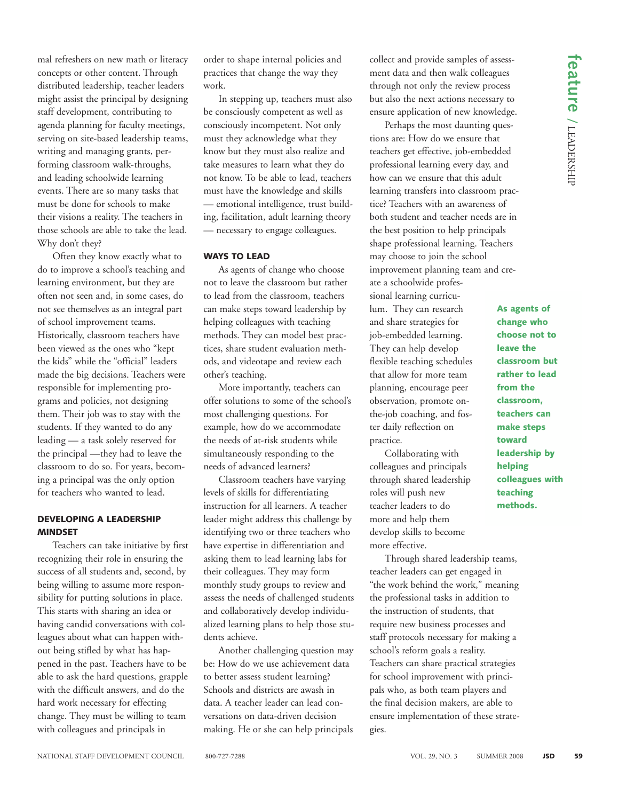mal refreshers on new math or literacy concepts or other content. Through distributed leadership, teacher leaders might assist the principal by designing staff development, contributing to agenda planning for faculty meetings, serving on site-based leadership teams, writing and managing grants, performing classroom walk-throughs, and leading schoolwide learning events. There are so many tasks that must be done for schools to make their visions a reality. The teachers in those schools are able to take the lead. Why don't they?

Often they know exactly what to do to improve a school's teaching and learning environment, but they are often not seen and, in some cases, do not see themselves as an integral part of school improvement teams. Historically, classroom teachers have been viewed as the ones who "kept the kids" while the "official" leaders made the big decisions. Teachers were responsible for implementing programs and policies, not designing them. Their job was to stay with the students. If they wanted to do any leading — a task solely reserved for the principal —they had to leave the classroom to do so. For years, becoming a principal was the only option for teachers who wanted to lead.

#### **DEVELOPING A LEADERSHIP MINDSET**

Teachers can take initiative by first recognizing their role in ensuring the success of all students and, second, by being willing to assume more responsibility for putting solutions in place. This starts with sharing an idea or having candid conversations with colleagues about what can happen without being stifled by what has happened in the past. Teachers have to be able to ask the hard questions, grapple with the difficult answers, and do the hard work necessary for effecting change. They must be willing to team with colleagues and principals in

order to shape internal policies and practices that change the way they work.

In stepping up, teachers must also be consciously competent as well as consciously incompetent. Not only must they acknowledge what they know but they must also realize and take measures to learn what they do not know. To be able to lead, teachers must have the knowledge and skills — emotional intelligence, trust building, facilitation, adult learning theory — necessary to engage colleagues.

#### **WAYS TO LEAD**

As agents of change who choose not to leave the classroom but rather to lead from the classroom, teachers can make steps toward leadership by helping colleagues with teaching methods. They can model best practices, share student evaluation methods, and videotape and review each other's teaching.

More importantly, teachers can offer solutions to some of the school's most challenging questions. For example, how do we accommodate the needs of at-risk students while simultaneously responding to the needs of advanced learners?

Classroom teachers have varying levels of skills for differentiating instruction for all learners. A teacher leader might address this challenge by identifying two or three teachers who have expertise in differentiation and asking them to lead learning labs for their colleagues. They may form monthly study groups to review and assess the needs of challenged students and collaboratively develop individualized learning plans to help those students achieve.

Another challenging question may be: How do we use achievement data to better assess student learning? Schools and districts are awash in data. A teacher leader can lead conversations on data-driven decision making. He or she can help principals collect and provide samples of assessment data and then walk colleagues through not only the review process but also the next actions necessary to ensure application of new knowledge.

Perhaps the most daunting questions are: How do we ensure that teachers get effective, job-embedded professional learning every day, and how can we ensure that this adult learning transfers into classroom practice? Teachers with an awareness of both student and teacher needs are in the best position to help principals shape professional learning. Teachers may choose to join the school improvement planning team and cre-

ate a schoolwide professional learning curriculum. They can research and share strategies for job-embedded learning. They can help develop flexible teaching schedules that allow for more team planning, encourage peer observation, promote onthe-job coaching, and foster daily reflection on practice.

Collaborating with colleagues and principals through shared leadership roles will push new teacher leaders to do more and help them develop skills to become more effective.

Through shared leadership teams, teacher leaders can get engaged in "the work behind the work," meaning the professional tasks in addition to the instruction of students, that require new business processes and staff protocols necessary for making a school's reform goals a reality. Teachers can share practical strategies for school improvement with principals who, as both team players and the final decision makers, are able to ensure implementation of these strategies.

**As agents of change who choose not to leave the classroom but rather to lead from the classroom, teachers can make steps toward leadership by helping colleagues with teaching methods.**